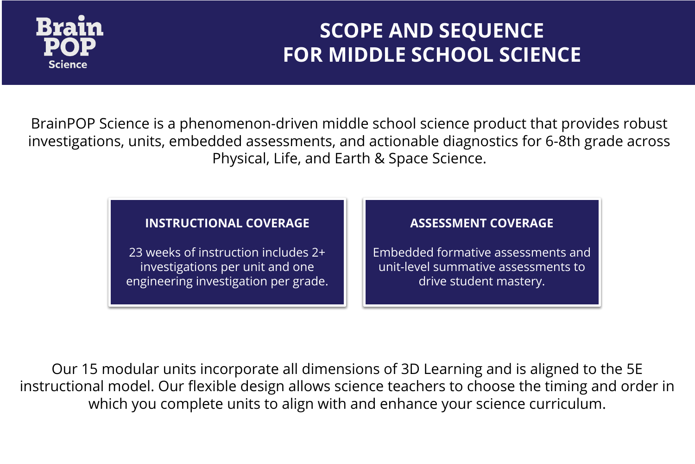

## **SCOPE AND SEQUENCE FOR MIDDLE SCHOOL SCIENCE**

BrainPOP Science is a phenomenon-driven middle school science product that provides robust investigations, units, embedded assessments, and actionable diagnostics for 6-8th grade across Physical, Life, and Earth & Space Science.

### **INSTRUCTIONAL COVERAGE**

23 weeks of instruction includes 2+ investigations per unit and one engineering investigation per grade.

### **ASSESSMENT COVERAGE**

Embedded formative assessments and unit-level summative assessments to drive student mastery.

Our 15 modular units incorporate all dimensions of 3D Learning and is aligned to the 5E instructional model. Our flexible design allows science teachers to choose the timing and order in which you complete units to align with and enhance your science curriculum.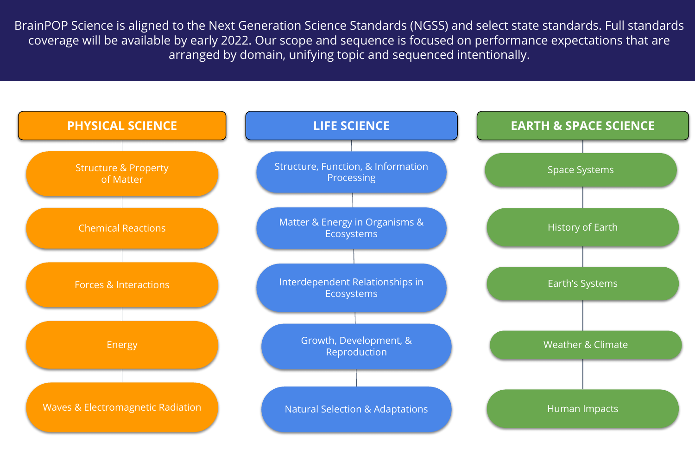BrainPOP Science is aligned to the Next Generation Science Standards (NGSS) and select state standards. Full standards coverage will be available by early 2022. Our scope and sequence is focused on performance expectations that are arranged by domain, unifying topic and sequenced intentionally.

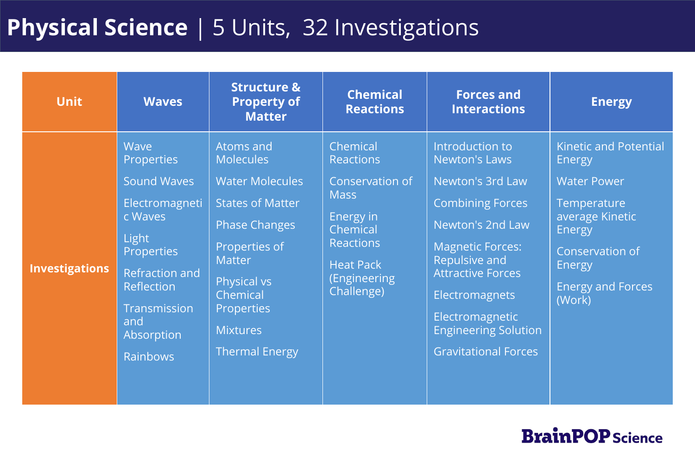# **Physical Science** | 5 Units, 32 Investigations

| <b>Unit</b>           | <b>Waves</b>                                                                                                                                                                                              | <b>Structure &amp;</b><br><b>Property of</b><br><b>Matter</b>                                                                                                                                                                                   | <b>Chemical</b><br><b>Reactions</b>                                                                                                                           | <b>Forces and</b><br><b>Interactions</b>                                                                                                                                                                                                                                                            | <b>Energy</b>                                                                                                                                                                                    |
|-----------------------|-----------------------------------------------------------------------------------------------------------------------------------------------------------------------------------------------------------|-------------------------------------------------------------------------------------------------------------------------------------------------------------------------------------------------------------------------------------------------|---------------------------------------------------------------------------------------------------------------------------------------------------------------|-----------------------------------------------------------------------------------------------------------------------------------------------------------------------------------------------------------------------------------------------------------------------------------------------------|--------------------------------------------------------------------------------------------------------------------------------------------------------------------------------------------------|
| <b>Investigations</b> | Wave<br><b>Properties</b><br><b>Sound Waves</b><br>Electromagneti<br>c Waves<br>Light<br><b>Properties</b><br><b>Refraction and</b><br>Reflection<br>Transmission<br>and<br>Absorption<br><b>Rainbows</b> | Atoms and<br><b>Molecules</b><br><b>Water Molecules</b><br><b>States of Matter</b><br><b>Phase Changes</b><br>Properties of<br><b>Matter</b><br><b>Physical vs</b><br>Chemical<br><b>Properties</b><br><b>Mixtures</b><br><b>Thermal Energy</b> | Chemical<br><b>Reactions</b><br>Conservation of<br><b>Mass</b><br>Energy in<br>Chemical<br><b>Reactions</b><br><b>Heat Pack</b><br>(Engineering<br>Challenge) | Introduction to<br><b>Newton's Laws</b><br>Newton's 3rd Law<br><b>Combining Forces</b><br>Newton's 2nd Law<br><b>Magnetic Forces:</b><br><b>Repulsive and</b><br><b>Attractive Forces</b><br><b>Electromagnets</b><br>Electromagnetic<br><b>Engineering Solution</b><br><b>Gravitational Forces</b> | <b>Kinetic and Potential</b><br><b>Energy</b><br><b>Water Power</b><br>Temperature<br>average Kinetic<br><b>Energy</b><br>Conservation of<br><b>Energy</b><br><b>Energy and Forces</b><br>(Work) |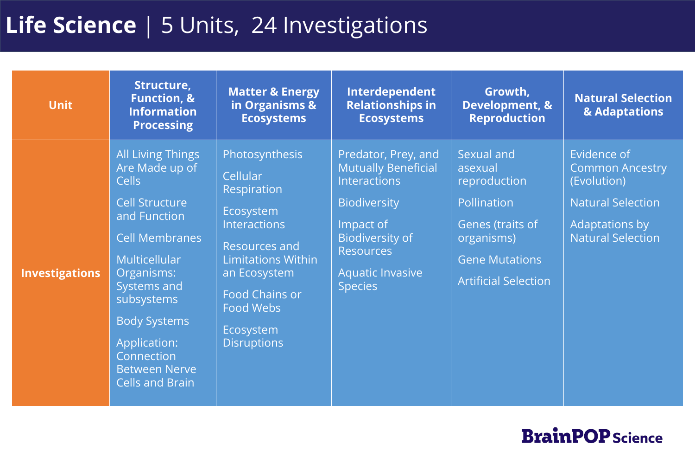## **Life Science** | 5 Units, 24 Investigations

| <b>Unit</b>           | Structure,<br><b>Function, &amp;</b><br><b>Information</b><br><b>Processing</b>                                                                                                                                                                                                                 | <b>Matter &amp; Energy</b><br>in Organisms &<br><b>Ecosystems</b>                                                                                                                                                                         | Interdependent<br><b>Relationships in</b><br><b>Ecosystems</b>                                                                                                                                          | Growth,<br>Development, &<br><b>Reproduction</b>                                                                                               | <b>Natural Selection</b><br>& Adaptations                                                                                             |
|-----------------------|-------------------------------------------------------------------------------------------------------------------------------------------------------------------------------------------------------------------------------------------------------------------------------------------------|-------------------------------------------------------------------------------------------------------------------------------------------------------------------------------------------------------------------------------------------|---------------------------------------------------------------------------------------------------------------------------------------------------------------------------------------------------------|------------------------------------------------------------------------------------------------------------------------------------------------|---------------------------------------------------------------------------------------------------------------------------------------|
| <b>Investigations</b> | <b>All Living Things</b><br>Are Made up of<br><b>Cells</b><br><b>Cell Structure</b><br>and Function<br><b>Cell Membranes</b><br>Multicellular<br>Organisms:<br>Systems and<br>subsystems<br><b>Body Systems</b><br>Application:<br>Connection<br><b>Between Nerve</b><br><b>Cells and Brain</b> | <b>Photosynthesis</b><br>Cellular<br>Respiration<br>Ecosystem<br><b>Interactions</b><br><b>Resources and</b><br><b>Limitations Within</b><br>an Ecosystem<br><b>Food Chains or</b><br><b>Food Webs</b><br>Ecosystem<br><b>Disruptions</b> | Predator, Prey, and<br><b>Mutually Beneficial</b><br><b>Interactions</b><br><b>Biodiversity</b><br>Impact of<br><b>Biodiversity of</b><br><b>Resources</b><br><b>Aquatic Invasive</b><br><b>Species</b> | Sexual and<br>asexual<br>reproduction<br>Pollination<br>Genes (traits of<br>organisms)<br><b>Gene Mutations</b><br><b>Artificial Selection</b> | Evidence of<br><b>Common Ancestry</b><br>(Evolution)<br><b>Natural Selection</b><br><b>Adaptations by</b><br><b>Natural Selection</b> |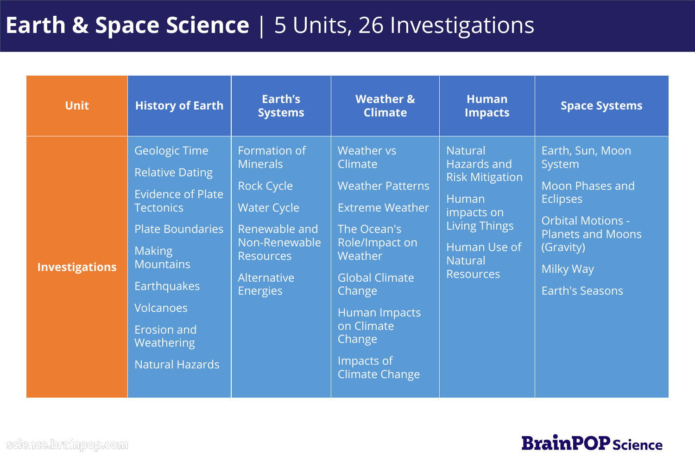# **Earth & Space Science** | 5 Units, 26 Investigations

| <b>Unit</b>           | <b>History of Earth</b>                                                                                                                                                                                                                                                | Earth's<br><b>Systems</b>                                                                                                                                          | <b>Weather &amp;</b><br><b>Climate</b>                                                                                                                                                                                                           | <b>Human</b><br><b>Impacts</b>                                                                                                                               | <b>Space Systems</b>                                                                                                                                                                       |
|-----------------------|------------------------------------------------------------------------------------------------------------------------------------------------------------------------------------------------------------------------------------------------------------------------|--------------------------------------------------------------------------------------------------------------------------------------------------------------------|--------------------------------------------------------------------------------------------------------------------------------------------------------------------------------------------------------------------------------------------------|--------------------------------------------------------------------------------------------------------------------------------------------------------------|--------------------------------------------------------------------------------------------------------------------------------------------------------------------------------------------|
| <b>Investigations</b> | <b>Geologic Time</b><br><b>Relative Dating</b><br><b>Evidence of Plate</b><br><b>Tectonics</b><br><b>Plate Boundaries</b><br><b>Making</b><br><b>Mountains</b><br><b>Earthquakes</b><br><b>Volcanoes</b><br><b>Erosion and</b><br>Weathering<br><b>Natural Hazards</b> | Formation of<br><b>Minerals</b><br><b>Rock Cycle</b><br><b>Water Cycle</b><br>Renewable and<br>Non-Renewable<br><b>Resources</b><br>Alternative<br><b>Energies</b> | <b>Weather vs</b><br>Climate<br><b>Weather Patterns</b><br><b>Extreme Weather</b><br>The Ocean's<br>Role/Impact on<br>Weather<br><b>Global Climate</b><br>Change<br>Human Impacts<br>on Climate<br>Change<br>Impacts of<br><b>Climate Change</b> | <b>Natural</b><br>Hazards and<br><b>Risk Mitigation</b><br>Human<br>impacts on<br><b>Living Things</b><br>Human Use of<br><b>Natural</b><br><b>Resources</b> | Earth, Sun, Moon<br><b>System</b><br><b>Moon Phases and</b><br><b>Eclipses</b><br><b>Orbital Motions -</b><br><b>Planets and Moons</b><br>(Gravity)<br>Milky Way<br><b>Earth's Seasons</b> |

science.brainpop.com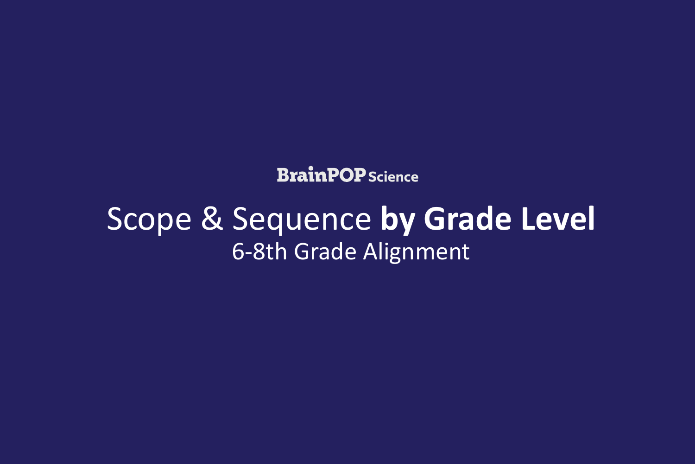**BrainPOP** Science

# Scope & Sequence **by Grade Level** 6-8th Grade Alignment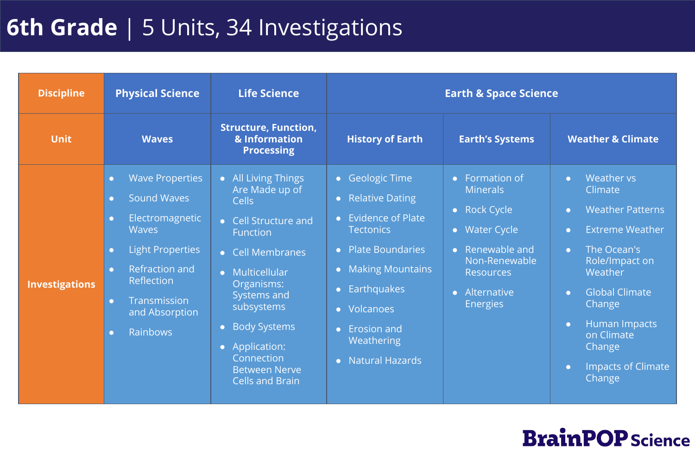# **6th Grade** | 5 Units, 34 Investigations

| <b>Discipline</b>     | <b>Physical Science</b>                                                                                                                                                                                                                                                                           | <b>Life Science</b>                                                                                                                                                                                                                                                                                                                              |                                                                                                                                                                                                                                                                                                    | <b>Earth &amp; Space Science</b>                                                                                                                                                   |                                                                                                                                                                                                                                                                                                                                      |
|-----------------------|---------------------------------------------------------------------------------------------------------------------------------------------------------------------------------------------------------------------------------------------------------------------------------------------------|--------------------------------------------------------------------------------------------------------------------------------------------------------------------------------------------------------------------------------------------------------------------------------------------------------------------------------------------------|----------------------------------------------------------------------------------------------------------------------------------------------------------------------------------------------------------------------------------------------------------------------------------------------------|------------------------------------------------------------------------------------------------------------------------------------------------------------------------------------|--------------------------------------------------------------------------------------------------------------------------------------------------------------------------------------------------------------------------------------------------------------------------------------------------------------------------------------|
| <b>Unit</b>           | <b>Waves</b>                                                                                                                                                                                                                                                                                      | <b>Structure, Function,</b><br>& Information<br><b>Processing</b>                                                                                                                                                                                                                                                                                | <b>History of Earth</b>                                                                                                                                                                                                                                                                            | <b>Earth's Systems</b>                                                                                                                                                             | <b>Weather &amp; Climate</b>                                                                                                                                                                                                                                                                                                         |
| <b>Investigations</b> | <b>Wave Properties</b><br>$\bullet$<br><b>Sound Waves</b><br>$\bullet$<br>Electromagnetic<br>$\bullet$<br><b>Waves</b><br><b>Light Properties</b><br>$\bullet$<br><b>Refraction and</b><br>$\bullet$<br>Reflection<br>Transmission<br>$\bullet$<br>and Absorption<br><b>Rainbows</b><br>$\bullet$ | • All Living Things<br>Are Made up of<br>Cells<br><b>Cell Structure and</b><br>$\bullet$<br><b>Function</b><br><b>Cell Membranes</b><br>$\bullet$<br>Multicellular<br>$\bullet$<br>Organisms:<br>Systems and<br>subsystems<br><b>Body Systems</b><br>$\bullet$<br>• Application:<br>Connection<br><b>Between Nerve</b><br><b>Cells and Brain</b> | • Geologic Time<br><b>Relative Dating</b><br>$\bullet$<br><b>Evidence of Plate</b><br>$\bullet$<br><b>Tectonics</b><br>• Plate Boundaries<br><b>Making Mountains</b><br>$\bullet$<br>Earthquakes<br>$\bullet$<br>• Volcanoes<br><b>Erosion and</b><br>$\bullet$<br>Weathering<br>• Natural Hazards | Formation of<br>$\bullet$<br><b>Minerals</b><br>• Rock Cycle<br>• Water Cycle<br>Renewable and<br>Non-Renewable<br><b>Resources</b><br>Alternative<br>$\bullet$<br><b>Energies</b> | Weather vs<br>$\bullet$<br>Climate<br><b>Weather Patterns</b><br>$\bullet$<br><b>Extreme Weather</b><br>$\bullet$<br>The Ocean's<br>$\bullet$<br>Role/Impact on<br>Weather<br><b>Global Climate</b><br>$\bullet$<br>Change<br>Human Impacts<br>$\bullet$<br>on Climate<br>Change<br><b>Impacts of Climate</b><br>$\bullet$<br>Change |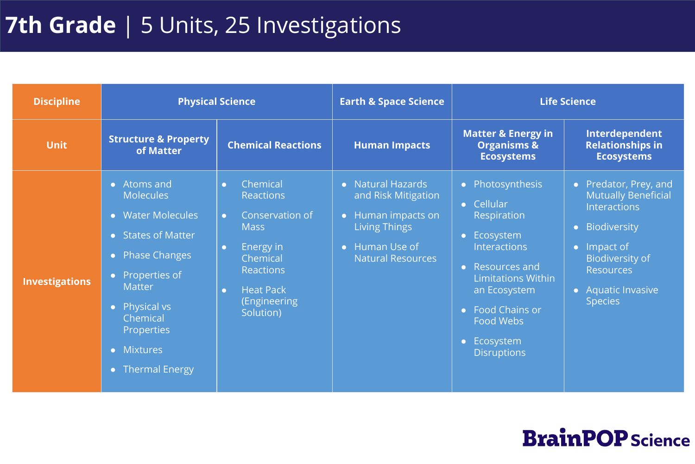## **7th Grade** | 5 Units, 25 Investigations

| <b>Discipline</b>     |                                                                                                                                                                                                                                                                                        | <b>Physical Science</b>                                                                                                                                                                                   | <b>Earth &amp; Space Science</b>                                                                                                   |                                                                                                                                                                                                                                  | <b>Life Science</b>                                                                                                                                                                                       |
|-----------------------|----------------------------------------------------------------------------------------------------------------------------------------------------------------------------------------------------------------------------------------------------------------------------------------|-----------------------------------------------------------------------------------------------------------------------------------------------------------------------------------------------------------|------------------------------------------------------------------------------------------------------------------------------------|----------------------------------------------------------------------------------------------------------------------------------------------------------------------------------------------------------------------------------|-----------------------------------------------------------------------------------------------------------------------------------------------------------------------------------------------------------|
| <b>Unit</b>           | <b>Structure &amp; Property</b><br>of Matter                                                                                                                                                                                                                                           | <b>Chemical Reactions</b>                                                                                                                                                                                 | <b>Human Impacts</b>                                                                                                               | <b>Matter &amp; Energy in</b><br><b>Organisms &amp;</b><br><b>Ecosystems</b>                                                                                                                                                     | Interdependent<br><b>Relationships in</b><br><b>Ecosystems</b>                                                                                                                                            |
| <b>Investigations</b> | • Atoms and<br><b>Molecules</b><br>• Water Molecules<br>• States of Matter<br><b>Phase Changes</b><br>$\bullet$<br>• Properties of<br><b>Matter</b><br>Physical vs<br>$\bullet$<br>Chemical<br><b>Properties</b><br><b>Mixtures</b><br>$\bullet$<br><b>Thermal Energy</b><br>$\bullet$ | Chemical<br>$\bullet$<br><b>Reactions</b><br>Conservation of<br>$\bullet$<br><b>Mass</b><br>Energy in<br>$\bullet$<br>Chemical<br>Reactions<br><b>Heat Pack</b><br>$\bullet$<br>(Engineering<br>Solution) | • Natural Hazards<br>and Risk Mitigation<br>• Human impacts on<br><b>Living Things</b><br>Human Use of<br><b>Natural Resources</b> | • Photosynthesis<br>• Cellular<br>Respiration<br>• Ecosystem<br><b>Interactions</b><br>• Resources and<br><b>Limitations Within</b><br>an Ecosystem<br>• Food Chains or<br><b>Food Webs</b><br>• Ecosystem<br><b>Disruptions</b> | • Predator, Prey, and<br><b>Mutually Beneficial</b><br><b>Interactions</b><br>• Biodiversity<br>$\bullet$ Impact of<br><b>Biodiversity of</b><br><b>Resources</b><br>• Aquatic Invasive<br><b>Species</b> |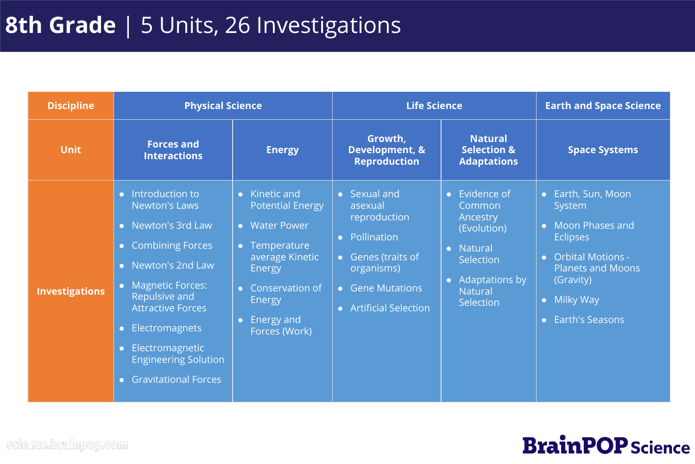## **8th Grade** | 5 Units, 26 Investigations

| <b>Discipline</b>     | <b>Physical Science</b>                                                                                                                                                                                                                                                                                                                                                |                                                                                                                                                                                                      | <b>Life Science</b>                                                                                                                                        |                                                                                                                                 | <b>Earth and Space Science</b>                                                                                                                                                             |
|-----------------------|------------------------------------------------------------------------------------------------------------------------------------------------------------------------------------------------------------------------------------------------------------------------------------------------------------------------------------------------------------------------|------------------------------------------------------------------------------------------------------------------------------------------------------------------------------------------------------|------------------------------------------------------------------------------------------------------------------------------------------------------------|---------------------------------------------------------------------------------------------------------------------------------|--------------------------------------------------------------------------------------------------------------------------------------------------------------------------------------------|
| <b>Unit</b>           | <b>Forces and</b><br><b>Interactions</b>                                                                                                                                                                                                                                                                                                                               | <b>Energy</b>                                                                                                                                                                                        | Growth,<br>Development, &<br><b>Reproduction</b>                                                                                                           | <b>Natural</b><br><b>Selection &amp;</b><br><b>Adaptations</b>                                                                  | <b>Space Systems</b>                                                                                                                                                                       |
| <b>Investigations</b> | Introduction to<br>$\bullet$ .<br>Newton's Laws<br>Newton's 3rd Law<br>$\bullet$<br><b>Combining Forces</b><br>$\bullet$<br>Newton's 2nd Law<br>$\bullet$<br>• Magnetic Forces:<br>Repulsive and<br><b>Attractive Forces</b><br>Electromagnets<br>$\bullet$<br>Electromagnetic<br>$\bullet$<br><b>Engineering Solution</b><br><b>Gravitational Forces</b><br>$\bullet$ | Kinetic and<br>$\bullet$<br><b>Potential Energy</b><br>• Water Power<br>• Temperature<br>average Kinetic<br>Energy<br>• Conservation of<br><b>Energy</b><br>Energy and<br>$\bullet$<br>Forces (Work) | • Sexual and<br>asexual<br>reproduction<br>• Pollination<br>Genes (traits of<br>organisms)<br><b>Gene Mutations</b><br>$\bullet$<br>• Artificial Selection | • Evidence of<br>Common<br>Ancestry<br>(Evolution)<br>• Natural<br>Selection<br>• Adaptations by<br><b>Natural</b><br>Selection | • Earth, Sun, Moon<br>System<br>• Moon Phases and<br><b>Eclipses</b><br><b>Orbital Motions -</b><br>$\bullet$<br><b>Planets and Moons</b><br>(Gravity)<br>• Milky Way<br>• Earth's Seasons |

science.brainpop.com